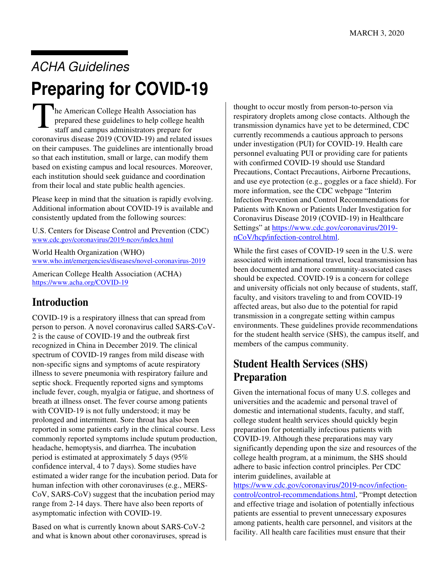# ACHA Guidelines **Preparing for COVID-19**

The American College Health Association has prepared these guidelines to help college health staff and campus administrators prepare for coronavirus disease 2019 (COVID-19) and related issues on their campuses. The guidelines are intentionally broad so that each institution, small or large, can modify them based on existing campus and local resources. Moreover, each institution should seek guidance and coordination from their local and state public health agencies.

Please keep in mind that the situation is rapidly evolving. Additional information about COVID-19 is available and consistently updated from the following sources:

U.S. Centers for Disease Control and Prevention (CDC)

www.cdc.gov/coronavirus/2019-ncov/index.html<br>World Health Organization (WHO) <www.who.int/emergencies/diseases/novel-coronavirus-2019>American College Health Association (ACHA)

<https://www.acha.org/COVID-19>

### **Introduction**

 recognized in China in December 2019. The clinical COVID-19 is a respiratory illness that can spread from person to person. A novel coronavirus called SARS-CoV-2 is the cause of COVID-19 and the outbreak first spectrum of COVID-19 ranges from mild disease with non-specific signs and symptoms of acute respiratory illness to severe pneumonia with respiratory failure and septic shock. Frequently reported signs and symptoms include fever, cough, myalgia or fatigue, and shortness of breath at illness onset. The fever course among patients with COVID-19 is not fully understood; it may be prolonged and intermittent. Sore throat has also been reported in some patients early in the clinical course. Less commonly reported symptoms include sputum production, headache, hemoptysis, and diarrhea. The incubation period is estimated at approximately 5 days (95% confidence interval, 4 to 7 days). Some studies have estimated a wider range for the incubation period. Data for human infection with other coronaviruses (e.g., MERS-CoV, SARS-CoV) suggest that the incubation period may range from 2-14 days. There have also been reports of asymptomatic infection with COVID-19.

Based on what is currently known about SARS-CoV-2 and what is known about other coronaviruses, spread is thought to occur mostly from person-to-person via respiratory droplets among close contacts. Although the transmission dynamics have yet to be determined, CDC currently recommends a cautious approach to persons under investigation (PUI) for COVID-19. Health care personnel evaluating PUI or providing care for patients with confirmed COVID-19 should use Standard Precautions, Contact Precautions, Airborne Precautions, and use eye protection (e.g., goggles or a face shield). For more information, see the CDC webpage "Interim Infection Prevention and Control Recommendations for Patients with Known or Patients Under Investigation for Coronavirus Disease 2019 (COVID-19) in Healthcare Settings" at <https://www.cdc.gov/coronavirus/2019> nCoV/hcp/infection-control.html.

 members of the campus community. While the first cases of COVID-19 seen in the U.S. were associated with international travel, local transmission has been documented and more community-associated cases should be expected. COVID-19 is a concern for college and university officials not only because of students, staff, faculty, and visitors traveling to and from COVID-19 affected areas, but also due to the potential for rapid transmission in a congregate setting within campus environments. These guidelines provide recommendations for the student health service (SHS), the campus itself, and

#### **Student Health Services (SHS) Preparation**

Given the international focus of many U.S. colleges and universities and the academic and personal travel of domestic and international students, faculty, and staff, college student health services should quickly begin preparation for potentially infectious patients with COVID-19. Although these preparations may vary significantly depending upon the size and resources of the college health program, at a minimum, the SHS should adhere to basic infection control principles. Per CDC interim guidelines, available at

<https://www.cdc.gov/coronavirus/2019-ncov/infection>control/control-recommendations.html, "Prompt detection and effective triage and isolation of potentially infectious patients are essential to prevent unnecessary exposures among patients, health care personnel, and visitors at the facility. All health care facilities must ensure that their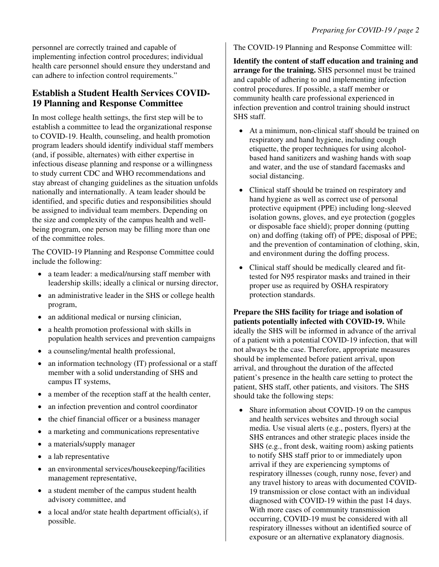personnel are correctly trained and capable of implementing infection control procedures; individual health care personnel should ensure they understand and can adhere to infection control requirements."

#### **Establish a Student Health Services COVID-19 Planning and Response Committee**

In most college health settings, the first step will be to establish a committee to lead the organizational response to COVID-19. Health, counseling, and health promotion program leaders should identify individual staff members (and, if possible, alternates) with either expertise in infectious disease planning and response or a willingness to study current CDC and WHO recommendations and stay abreast of changing guidelines as the situation unfolds nationally and internationally. A team leader should be identified, and specific duties and responsibilities should be assigned to individual team members. Depending on the size and complexity of the campus health and wellbeing program, one person may be filling more than one of the committee roles.

The COVID-19 Planning and Response Committee could include the following:

- a team leader: a medical/nursing staff member with leadership skills; ideally a clinical or nursing director,
- an administrative leader in the SHS or college health program,
- an additional medical or nursing clinician,
- a health promotion professional with skills in population health services and prevention campaigns
- a counseling/mental health professional,
- an information technology (IT) professional or a staff member with a solid understanding of SHS and campus IT systems,
- a member of the reception staff at the health center,
- an infection prevention and control coordinator
- the chief financial officer or a business manager
- a marketing and communications representative
- a materials/supply manager
- a lab representative
- an environmental services/housekeeping/facilities management representative,
- a student member of the campus student health advisory committee, and
- a local and/or state health department official(s), if possible.

The COVID-19 Planning and Response Committee will:

**Identify the content of staff education and training and arrange for the training.** SHS personnel must be trained and capable of adhering to and implementing infection control procedures. If possible, a staff member or community health care professional experienced in infection prevention and control training should instruct SHS staff.

- At a minimum, non-clinical staff should be trained on respiratory and hand hygiene, including cough etiquette, the proper techniques for using alcoholbased hand sanitizers and washing hands with soap and water, and the use of standard facemasks and social distancing.
- or disposable face shield); proper donning (putting • Clinical staff should be trained on respiratory and hand hygiene as well as correct use of personal protective equipment (PPE) including long-sleeved isolation gowns, gloves, and eye protection (goggles on) and doffing (taking off) of PPE; disposal of PPE; and the prevention of contamination of clothing, skin, and environment during the doffing process.
- • Clinical staff should be medically cleared and fittested for N95 respirator masks and trained in their proper use as required by OSHA respiratory protection standards.

**Prepare the SHS facility for triage and isolation of patients potentially infected with COVID-19.** While ideally the SHS will be informed in advance of the arrival of a patient with a potential COVID-19 infection, that will not always be the case. Therefore, appropriate measures should be implemented before patient arrival, upon arrival, and throughout the duration of the affected patient's presence in the health care setting to protect the patient, SHS staff, other patients, and visitors. The SHS should take the following steps:

Share information about COVID-19 on the campus and health services websites and through social media. Use visual alerts (e.g., posters, flyers) at the SHS entrances and other strategic places inside the SHS (e.g., front desk, waiting room) asking patients to notify SHS staff prior to or immediately upon arrival if they are experiencing symptoms of respiratory illnesses (cough, runny nose, fever) and any travel history to areas with documented COVID-19 transmission or close contact with an individual diagnosed with COVID-19 within the past 14 days. With more cases of community transmission occurring, COVID-19 must be considered with all respiratory illnesses without an identified source of exposure or an alternative explanatory diagnosis.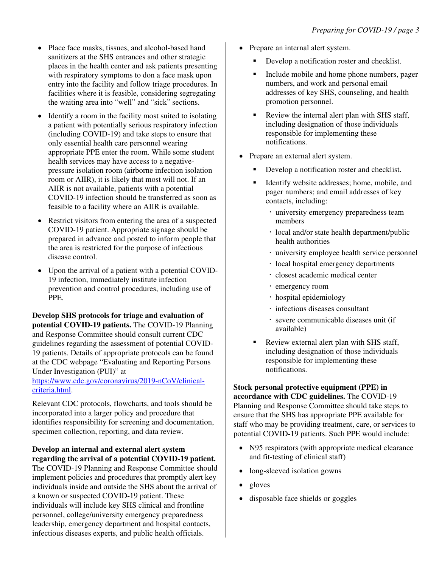- Place face masks, tissues, and alcohol-based hand sanitizers at the SHS entrances and other strategic places in the health center and ask patients presenting with respiratory symptoms to don a face mask upon entry into the facility and follow triage procedures. In facilities where it is feasible, considering segregating the waiting area into "well" and "sick" sections.
- Identify a room in the facility most suited to isolating a patient with potentially serious respiratory infection (including COVID-19) and take steps to ensure that only essential health care personnel wearing appropriate PPE enter the room. While some student health services may have access to a negativepressure isolation room (airborne infection isolation room or AIIR), it is likely that most will not. If an AIIR is not available, patients with a potential COVID-19 infection should be transferred as soon as feasible to a facility where an AIIR is available.
- Restrict visitors from entering the area of a suspected COVID-19 patient. Appropriate signage should be prepared in advance and posted to inform people that the area is restricted for the purpose of infectious disease control.
- prevention and control procedures, including use of • Upon the arrival of a patient with a potential COVID-19 infection, immediately institute infection PPE.

 **Develop SHS protocols for triage and evaluation of potential COVID-19 patients.** The COVID-19 Planning and Response Committee should consult current CDC guidelines regarding the assessment of potential COVID-19 patients. Details of appropriate protocols can be found at the CDC webpage "Evaluating and Reporting Persons Under Investigation (PUI)" at

<https://www.cdc.gov/coronavirus/2019-nCoV/clinical>criteria.html.

Relevant CDC protocols, flowcharts, and tools should be incorporated into a larger policy and procedure that identifies responsibility for screening and documentation, specimen collection, reporting, and data review.

#### **Develop an internal and external alert system regarding the arrival of a potential COVID-19 patient.**

The COVID-19 Planning and Response Committee should implement policies and procedures that promptly alert key individuals inside and outside the SHS about the arrival of a known or suspected COVID-19 patient. These individuals will include key SHS clinical and frontline personnel, college/university emergency preparedness leadership, emergency department and hospital contacts, infectious diseases experts, and public health officials.

- Prepare an internal alert system.
	- Develop a notification roster and checklist.
	- addresses of key SHS, counseling, and health Include mobile and home phone numbers, pager numbers, and work and personal email promotion personnel.
	- Review the internal alert plan with SHS staff, including designation of those individuals responsible for implementing these notifications.
- Prepare an external alert system.
	- Develop a notification roster and checklist.
	- Identify website addresses; home, mobile, and pager numbers; and email addresses of key contacts, including:
		- university emergency preparedness team members
		- local and/or state health department/public health authorities
		- university employee health service personnel
		- · local hospital emergency departments
		- closest academic medical center
		- emergency room
		- hospital epidemiology
		- infectious diseases consultant
		- severe communicable diseases unit (if available)
	- Review external alert plan with SHS staff, including designation of those individuals responsible for implementing these notifications.

**Stock personal protective equipment (PPE) in accordance with CDC guidelines.** The COVID-19 Planning and Response Committee should take steps to

ensure that the SHS has appropriate PPE available for staff who may be providing treatment, care, or services to potential COVID-19 patients. Such PPE would include:

- N95 respirators (with appropriate medical clearance and fit-testing of clinical staff)
- long-sleeved isolation gowns
- gloves
- disposable face shields or goggles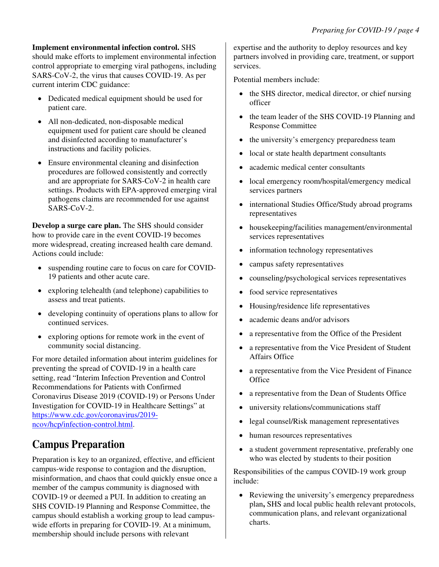#### **Implement environmental infection control.** SHS

should make efforts to implement environmental infection control appropriate to emerging viral pathogens, including SARS-CoV-2, the virus that causes COVID-19. As per current interim CDC guidance:

- • Dedicated medical equipment should be used for patient care.
- All non-dedicated, non-disposable medical equipment used for patient care should be cleaned and disinfected according to manufacturer's instructions and facility policies.
- Ensure environmental cleaning and disinfection procedures are followed consistently and correctly and are appropriate for SARS-CoV-2 in health care settings. Products with EPA-approved emerging viral pathogens claims are recommended for use against SARS-CoV-2.

**Develop a surge care plan.** The SHS should consider how to provide care in the event COVID-19 becomes more widespread, creating increased health care demand. Actions could include:

- suspending routine care to focus on care for COVID-19 patients and other acute care.
- exploring telehealth (and telephone) capabilities to assess and treat patients.
- developing continuity of operations plans to allow for continued services.
- exploring options for remote work in the event of community social distancing.

For more detailed information about interim guidelines for preventing the spread of COVID-19 in a health care setting, read "Interim Infection Prevention and Control Recommendations for Patients with Confirmed Coronavirus Disease 2019 (COVID-19) or Persons Under Investigation for COVID-19 in Healthcare Settings" at <https://www.cdc.gov/coronavirus/2019> ncov/hcp/infection-control.html.

### **Campus Preparation**

Preparation is key to an organized, effective, and efficient campus-wide response to contagion and the disruption, misinformation, and chaos that could quickly ensue once a member of the campus community is diagnosed with COVID-19 or deemed a PUI. In addition to creating an SHS COVID-19 Planning and Response Committee, the campus should establish a working group to lead campuswide efforts in preparing for COVID-19. At a minimum, membership should include persons with relevant

expertise and the authority to deploy resources and key partners involved in providing care, treatment, or support services.

Potential members include:

- the SHS director, medical director, or chief nursing officer
- the team leader of the SHS COVID-19 Planning and Response Committee
- the university's emergency preparedness team
- local or state health department consultants
- academic medical center consultants
- local emergency room/hospital/emergency medical services partners
- international Studies Office/Study abroad programs representatives
- housekeeping/facilities management/environmental services representatives
- information technology representatives
- campus safety representatives
- counseling/psychological services representatives
- food service representatives
- Housing/residence life representatives
- academic deans and/or advisors
- a representative from the Office of the President
- • a representative from the Vice President of Student Affairs Office
- a representative from the Vice President of Finance **Office**
- a representative from the Dean of Students Office
- university relations/communications staff
- legal counsel/Risk management representatives
- human resources representatives
- a student government representative, preferably one who was elected by students to their position

 include: Responsibilities of the campus COVID-19 work group

• Reviewing the university's emergency preparedness plan**,** SHS and local public health relevant protocols, communication plans, and relevant organizational charts.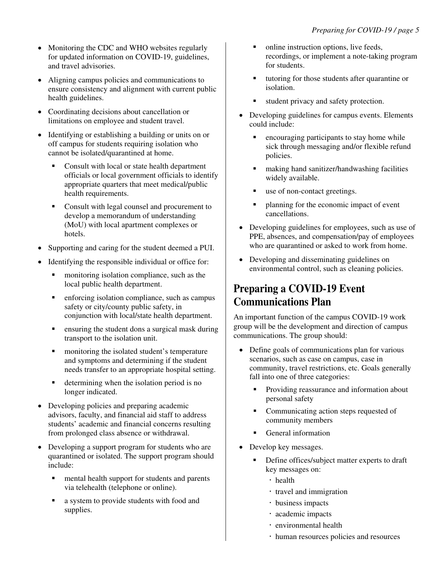- Monitoring the CDC and WHO websites regularly for updated information on COVID-19, guidelines, and travel advisories.
- Aligning campus policies and communications to ensure consistency and alignment with current public health guidelines.
- Coordinating decisions about cancellation or limitations on employee and student travel.
- Identifying or establishing a building or units on or off campus for students requiring isolation who cannot be isolated/quarantined at home.
	- officials or local government officials to identify Consult with local or state health department appropriate quarters that meet medical/public health requirements.
	- Consult with legal counsel and procurement to develop a memorandum of understanding (MoU) with local apartment complexes or hotels.
- Supporting and caring for the student deemed a PUI.
- Identifying the responsible individual or office for:
	- monitoring isolation compliance, such as the local public health department.
	- enforcing isolation compliance, such as campus safety or city/county public safety, in conjunction with local/state health department.
	- ensuring the student dons a surgical mask during transport to the isolation unit.
	- needs transfer to an appropriate hospital setting. monitoring the isolated student's temperature and symptoms and determining if the student
	- determining when the isolation period is no longer indicated.
- Developing policies and preparing academic advisors, faculty, and financial aid staff to address students' academic and financial concerns resulting from prolonged class absence or withdrawal.
- Developing a support program for students who are quarantined or isolated. The support program should include:
	- mental health support for students and parents via telehealth (telephone or online).
	- a system to provide students with food and supplies.
- online instruction options, live feeds, recordings, or implement a note-taking program for students.
- tutoring for those students after quarantine or isolation.
- student privacy and safety protection.
- Developing guidelines for campus events. Elements could include:
	- **Exercise 1** encouraging participants to stay home while sick through messaging and/or flexible refund policies.
	- making hand sanitizer/handwashing facilities widely available.
	- use of non-contact greetings.
	- planning for the economic impact of event cancellations.
- Developing guidelines for employees, such as use of PPE, absences, and compensation/pay of employees who are quarantined or asked to work from home.
- Developing and disseminating guidelines on environmental control, such as cleaning policies.

### **Preparing a COVID-19 Event Communications Plan**

 group will be the development and direction of campus An important function of the campus COVID-19 work communications. The group should:

- Define goals of communications plan for various scenarios, such as case on campus, case in community, travel restrictions, etc. Goals generally fall into one of three categories:
	- **Providing reassurance and information about** personal safety
	- Communicating action steps requested of community members
	- General information
- Develop key messages.
	- key messages on: • Define offices/subject matter experts to draft
		- · health
		- travel and immigration
		- business impacts
		- academic impacts
		- environmental health
		- human resources policies and resources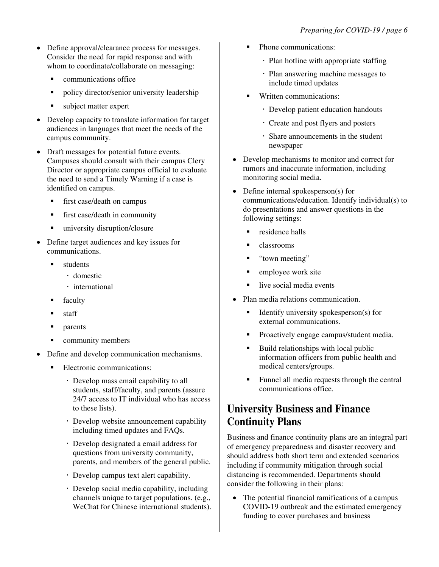- Define approval/clearance process for messages. Consider the need for rapid response and with whom to coordinate/collaborate on messaging:
	- communications office
	- policy director/senior university leadership
	- subject matter expert
- campus community. • Develop capacity to translate information for target audiences in languages that meet the needs of the
- Draft messages for potential future events. Campuses should consult with their campus Clery Director or appropriate campus official to evaluate the need to send a Timely Warning if a case is identified on campus.
	- first case/death on campus
	- **first case/death in community**
	- university disruption/closure
- Define target audiences and key issues for communications.
	- students
		- domestic
		- · international
	- faculty
	- staff
	- parents
	- community members
- Define and develop communication mechanisms.
	- Electronic communications:
		- Develop mass email capability to all students, staff/faculty, and parents (assure 24/7 access to IT individual who has access to these lists).
		- Develop website announcement capability including timed updates and FAQs.
		- Develop designated a email address for questions from university community, parents, and members of the general public.
		- Develop campus text alert capability.
		- Develop social media capability, including channels unique to target populations. (e.g., WeChat for Chinese international students).
- Phone communications:
	- Plan hotline with appropriate staffing
	- Plan answering machine messages to include timed updates
- Written communications:
	- Develop patient education handouts
	- Create and post flyers and posters
	- Share announcements in the student newspaper
- Develop mechanisms to monitor and correct for rumors and inaccurate information, including monitoring social media.
- Define internal spokesperson(s) for communications/education. Identify individual(s) to do presentations and answer questions in the following settings:
	- **residence halls**
	- classrooms
	- "town meeting"
	- $\blacksquare$  employee work site
	- $\blacksquare$  live social media events
- • Plan media relations communication.
	- Identify university spokesperson(s) for external communications.
	- Proactively engage campus/student media.
	- Build relationships with local public information officers from public health and medical centers/groups.
	- Funnel all media requests through the central communications office.

#### **University Business and Finance Continuity Plans**

Business and finance continuity plans are an integral part of emergency preparedness and disaster recovery and should address both short term and extended scenarios including if community mitigation through social distancing is recommended. Departments should consider the following in their plans:

• The potential financial ramifications of a campus COVID-19 outbreak and the estimated emergency funding to cover purchases and business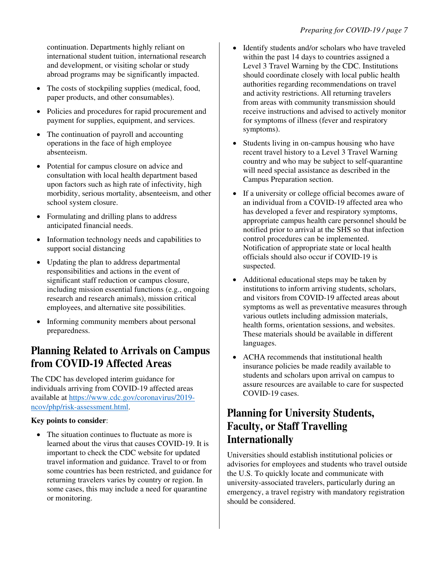abroad programs may be significantly impacted. continuation. Departments highly reliant on international student tuition, international research and development, or visiting scholar or study

- The costs of stockpiling supplies (medical, food, paper products, and other consumables).
- Policies and procedures for rapid procurement and payment for supplies, equipment, and services.
- The continuation of payroll and accounting operations in the face of high employee absenteeism.
- Potential for campus closure on advice and consultation with local health department based upon factors such as high rate of infectivity, high morbidity, serious mortality, absenteeism, and other school system closure.
- anticipated financial needs. • Formulating and drilling plans to address
- Information technology needs and capabilities to support social distancing
- responsibilities and actions in the event of • Updating the plan to address departmental significant staff reduction or campus closure, including mission essential functions (e.g., ongoing research and research animals), mission critical employees, and alternative site possibilities.
- Informing community members about personal preparedness.

#### **Planning Related to Arrivals on Campus from COVID-19 Affected Areas**

The CDC has developed interim guidance for individuals arriving from COVID-19 affected areas available at<https://www.cdc.gov/coronavirus/2019> ncov/php/risk-assessment.html.

#### **Key points to consider**:

• The situation continues to fluctuate as more is learned about the virus that causes COVID-19. It is important to check the CDC website for updated travel information and guidance. Travel to or from some countries has been restricted, and guidance for returning travelers varies by country or region. In some cases, this may include a need for quarantine or monitoring.

- and activity restrictions. All returning travelers Identify students and/or scholars who have traveled within the past 14 days to countries assigned a Level 3 Travel Warning by the CDC. Institutions should coordinate closely with local public health authorities regarding recommendations on travel from areas with community transmission should receive instructions and advised to actively monitor for symptoms of illness (fever and respiratory symptoms).
- Students living in on-campus housing who have recent travel history to a Level 3 Travel Warning country and who may be subject to self-quarantine will need special assistance as described in the Campus Preparation section.
- If a university or college official becomes aware of an individual from a COVID-19 affected area who has developed a fever and respiratory symptoms, appropriate campus health care personnel should be notified prior to arrival at the SHS so that infection control procedures can be implemented. Notification of appropriate state or local health officials should also occur if COVID-19 is suspected.
- Additional educational steps may be taken by institutions to inform arriving students, scholars, and visitors from COVID-19 affected areas about symptoms as well as preventative measures through various outlets including admission materials, health forms, orientation sessions, and websites. These materials should be available in different languages.
- ACHA recommends that institutional health insurance policies be made readily available to students and scholars upon arrival on campus to assure resources are available to care for suspected COVID-19 cases.

#### **Planning for University Students, Faculty, or Staff Travelling Internationally**

 should be considered. Universities should establish institutional policies or advisories for employees and students who travel outside the U.S. To quickly locate and communicate with university-associated travelers, particularly during an emergency, a travel registry with mandatory registration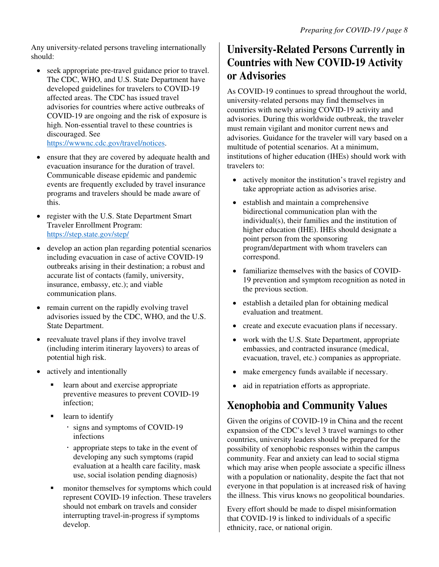Any university-related persons traveling internationally should:

- seek appropriate pre-travel guidance prior to travel. The CDC, WHO, and U.S. State Department have developed guidelines for travelers to COVID-19 affected areas. The CDC has issued travel advisories for countries where active outbreaks of COVID-19 are ongoing and the risk of exposure is high. Non-essential travel to these countries is discouraged. See [https://wwwnc.cdc.gov/travel/notices.](https://wwwnc.cdc.gov/travel/notices)
- evacuation insurance for the duration of travel. • ensure that they are covered by adequate health and Communicable disease epidemic and pandemic events are frequently excluded by travel insurance programs and travelers should be made aware of this.
- register with the U.S. State Department Smart Traveler Enrollment Program: [https://step.state.gov/step/](https://step.state.gov/step)
- develop an action plan regarding potential scenarios including evacuation in case of active COVID-19 outbreaks arising in their destination; a robust and accurate list of contacts (family, university, insurance, embassy, etc.); and viable communication plans.
- remain current on the rapidly evolving travel advisories issued by the CDC, WHO, and the U.S. State Department.
- (including interim itinerary layovers) to areas of • reevaluate travel plans if they involve travel potential high risk.
- actively and intentionally
	- learn about and exercise appropriate preventive measures to prevent COVID-19 infection;
	- learn to identify
		- signs and symptoms of COVID-19 infections
		- appropriate steps to take in the event of developing any such symptoms (rapid evaluation at a health care facility, mask use, social isolation pending diagnosis)
	- monitor themselves for symptoms which could represent COVID-19 infection. These travelers should not embark on travels and consider interrupting travel-in-progress if symptoms develop.

### **University-Related Persons Currently in Countries with New COVID-19 Activity or Advisories**

As COVID-19 continues to spread throughout the world, university-related persons may find themselves in countries with newly arising COVID-19 activity and advisories. During this worldwide outbreak, the traveler must remain vigilant and monitor current news and advisories. Guidance for the traveler will vary based on a multitude of potential scenarios. At a minimum, institutions of higher education (IHEs) should work with travelers to:

- actively monitor the institution's travel registry and take appropriate action as advisories arise.
- individual(s), their families and the institution of • establish and maintain a comprehensive bidirectional communication plan with the higher education (IHE). IHEs should designate a point person from the sponsoring program/department with whom travelers can correspond.
- familiarize themselves with the basics of COVID-19 prevention and symptom recognition as noted in the previous section.
- establish a detailed plan for obtaining medical evaluation and treatment.
- create and execute evacuation plans if necessary.
- work with the U.S. State Department, appropriate embassies, and contracted insurance (medical, evacuation, travel, etc.) companies as appropriate.
- make emergency funds available if necessary.
- aid in repatriation efforts as appropriate.

## **Xenophobia and Community Values**

Given the origins of COVID-19 in China and the recent expansion of the CDC's level 3 travel warnings to other countries, university leaders should be prepared for the possibility of xenophobic responses within the campus community. Fear and anxiety can lead to social stigma which may arise when people associate a specific illness with a population or nationality, despite the fact that not everyone in that population is at increased risk of having the illness. This virus knows no geopolitical boundaries.

 that COVID-19 is linked to individuals of a specific Every effort should be made to dispel misinformation ethnicity, race, or national origin.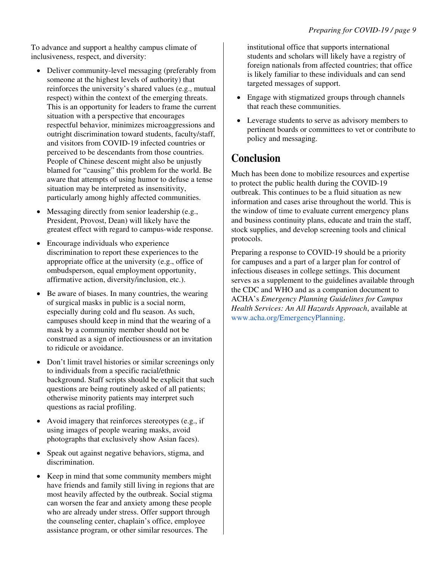To advance and support a healthy campus climate of inclusiveness, respect, and diversity:

- particularly among highly affected communities. • Deliver community-level messaging (preferably from someone at the highest levels of authority) that reinforces the university's shared values (e.g., mutual respect) within the context of the emerging threats. This is an opportunity for leaders to frame the current situation with a perspective that encourages respectful behavior, minimizes microaggressions and outright discrimination toward students, faculty/staff, and visitors from COVID-19 infected countries or perceived to be descendants from those countries. People of Chinese descent might also be unjustly blamed for "causing" this problem for the world. Be aware that attempts of using humor to defuse a tense situation may be interpreted as insensitivity,
- Messaging directly from senior leadership (e.g., President, Provost, Dean) will likely have the greatest effect with regard to campus-wide response.
- appropriate office at the university (e.g., office of • Encourage individuals who experience discrimination to report these experiences to the ombudsperson, equal employment opportunity, affirmative action, diversity/inclusion, etc.).
- Be aware of biases. In many countries, the wearing of surgical masks in public is a social norm, especially during cold and flu season. As such, campuses should keep in mind that the wearing of a mask by a community member should not be construed as a sign of infectiousness or an invitation to ridicule or avoidance.
- Don't limit travel histories or similar screenings only to individuals from a specific racial/ethnic background. Staff scripts should be explicit that such questions are being routinely asked of all patients; otherwise minority patients may interpret such questions as racial profiling.
- Avoid imagery that reinforces stereotypes (e.g., if using images of people wearing masks, avoid photographs that exclusively show Asian faces).
- Speak out against negative behaviors, stigma, and discrimination.
- Keep in mind that some community members might have friends and family still living in regions that are most heavily affected by the outbreak. Social stigma can worsen the fear and anxiety among these people who are already under stress. Offer support through the counseling center, chaplain's office, employee assistance program, or other similar resources. The

institutional office that supports international students and scholars will likely have a registry of foreign nationals from affected countries; that office is likely familiar to these individuals and can send targeted messages of support.

- Engage with stigmatized groups through channels that reach these communities.
- policy and messaging. • Leverage students to serve as advisory members to pertinent boards or committees to vet or contribute to

#### **Conclusion**

Much has been done to mobilize resources and expertise to protect the public health during the COVID-19 outbreak. This continues to be a fluid situation as new information and cases arise throughout the world. This is the window of time to evaluate current emergency plans and business continuity plans, educate and train the staff, stock supplies, and develop screening tools and clinical protocols.

 for campuses and a part of a larger plan for control of Preparing a response to COVID-19 should be a priority infectious diseases in college settings. This document serves as a supplement to the guidelines available through the CDC and WHO and as a companion document to ACHA's *Emergency Planning Guidelines for Campus Health Services: An All Hazards Approach*, available at <www.acha.org/EmergencyPlanning>.